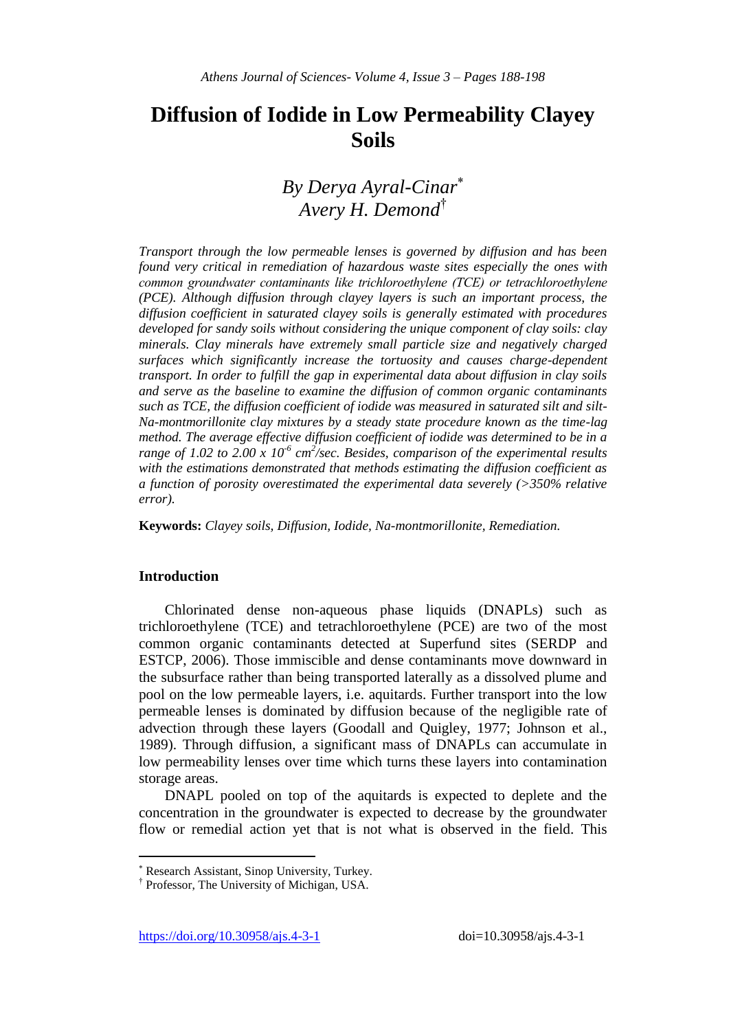# **Diffusion of Iodide in Low Permeability Clayey Soils**

## *By Derya Ayral-Cinar Avery H. Demond*†

*Transport through the low permeable lenses is governed by diffusion and has been found very critical in remediation of hazardous waste sites especially the ones with common groundwater contaminants like trichloroethylene (TCE) or tetrachloroethylene (PCE). Although diffusion through clayey layers is such an important process, the diffusion coefficient in saturated clayey soils is generally estimated with procedures developed for sandy soils without considering the unique component of clay soils: clay minerals. Clay minerals have extremely small particle size and negatively charged surfaces which significantly increase the tortuosity and causes charge-dependent transport. In order to fulfill the gap in experimental data about diffusion in clay soils and serve as the baseline to examine the diffusion of common organic contaminants such as TCE, the diffusion coefficient of iodide was measured in saturated silt and silt-Na-montmorillonite clay mixtures by a steady state procedure known as the time-lag method. The average effective diffusion coefficient of iodide was determined to be in a*  range of 1.02 to 2.00 x 10<sup>-6</sup> cm<sup>2</sup>/sec. Besides, comparison of the experimental results *with the estimations demonstrated that methods estimating the diffusion coefficient as a function of porosity overestimated the experimental data severely (>350% relative error).*

**Keywords:** *Clayey soils, Diffusion, Iodide, Na-montmorillonite, Remediation.*

## **Introduction**

 $\overline{\phantom{a}}$ 

Chlorinated dense non-aqueous phase liquids (DNAPLs) such as trichloroethylene (TCE) and tetrachloroethylene (PCE) are two of the most common organic contaminants detected at Superfund sites (SERDP and ESTCP, 2006). Those immiscible and dense contaminants move downward in the subsurface rather than being transported laterally as a dissolved plume and pool on the low permeable layers, i.e. aquitards. Further transport into the low permeable lenses is dominated by diffusion because of the negligible rate of advection through these layers (Goodall and Quigley, 1977; Johnson et al., 1989). Through diffusion, a significant mass of DNAPLs can accumulate in low permeability lenses over time which turns these layers into contamination storage areas.

DNAPL pooled on top of the aquitards is expected to deplete and the concentration in the groundwater is expected to decrease by the groundwater flow or remedial action yet that is not what is observed in the field. This

Research Assistant, Sinop University, Turkey.

<sup>†</sup> Professor, The University of Michigan, USA.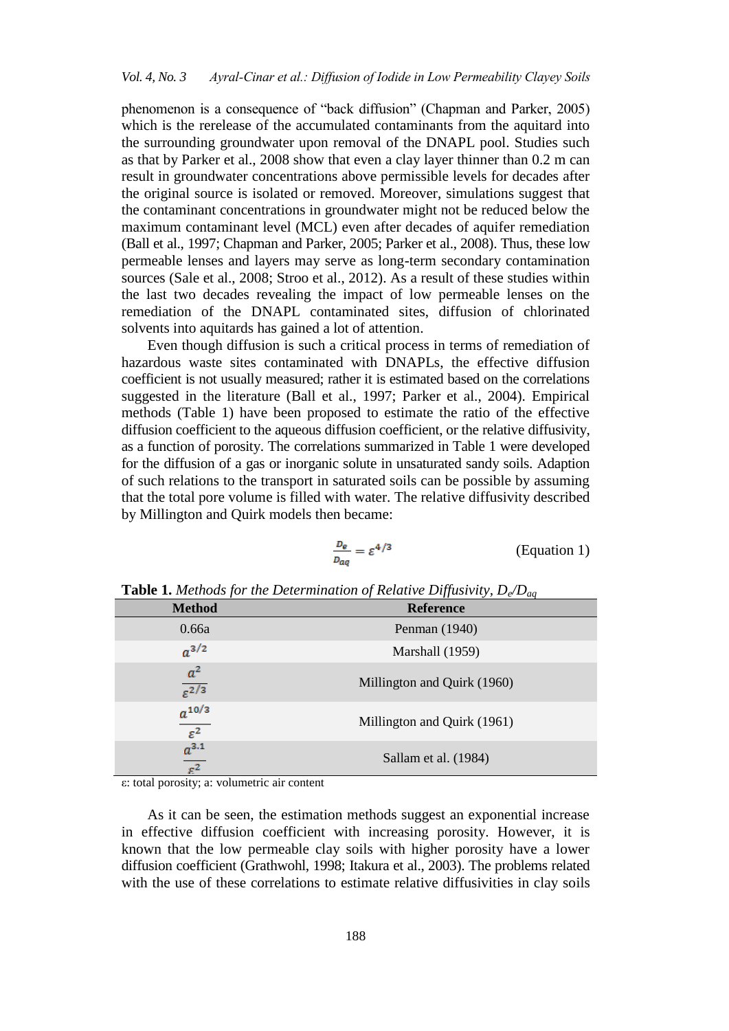phenomenon is a consequence of "back diffusion" (Chapman and Parker, 2005) which is the rerelease of the accumulated contaminants from the aquitard into the surrounding groundwater upon removal of the DNAPL pool. Studies such as that by Parker et al., 2008 show that even a clay layer thinner than 0.2 m can result in groundwater concentrations above permissible levels for decades after the original source is isolated or removed. Moreover, simulations suggest that the contaminant concentrations in groundwater might not be reduced below the maximum contaminant level (MCL) even after decades of aquifer remediation (Ball et al., 1997; Chapman and Parker, 2005; Parker et al., 2008). Thus, these low permeable lenses and layers may serve as long-term secondary contamination sources (Sale et al., 2008; Stroo et al., 2012). As a result of these studies within the last two decades revealing the impact of low permeable lenses on the remediation of the DNAPL contaminated sites, diffusion of chlorinated solvents into aquitards has gained a lot of attention.

Even though diffusion is such a critical process in terms of remediation of hazardous waste sites contaminated with DNAPLs, the effective diffusion coefficient is not usually measured; rather it is estimated based on the correlations suggested in the literature (Ball et al., 1997; Parker et al., 2004). Empirical methods (Table 1) have been proposed to estimate the ratio of the effective diffusion coefficient to the aqueous diffusion coefficient, or the relative diffusivity, as a function of porosity. The correlations summarized in Table 1 were developed for the diffusion of a gas or inorganic solute in unsaturated sandy soils. Adaption of such relations to the transport in saturated soils can be possible by assuming that the total pore volume is filled with water. The relative diffusivity described by Millington and Quirk models then became:

$$
\frac{D_e}{D_{aq}} = \varepsilon^{4/3}
$$
 (Equation 1)

| <b>Method</b>                                                       | <b>Reference</b>            |
|---------------------------------------------------------------------|-----------------------------|
| 0.66a                                                               | Penman (1940)               |
| $a^{3/2}$                                                           | Marshall (1959)             |
| $\frac{a^2}{\varepsilon^{2/3}}$                                     | Millington and Quirk (1960) |
| $\frac{a^{10/3}}{\varepsilon^2}$<br>$\frac{a^{3.1}}{\varepsilon^2}$ | Millington and Quirk (1961) |
|                                                                     | Sallam et al. (1984)        |

**Table 1.** *Methods for the Determination of Relative Diffusivity, De/Daq*

ε: total porosity; a: volumetric air content

As it can be seen, the estimation methods suggest an exponential increase in effective diffusion coefficient with increasing porosity. However, it is known that the low permeable clay soils with higher porosity have a lower diffusion coefficient (Grathwohl, 1998; Itakura et al., 2003). The problems related with the use of these correlations to estimate relative diffusivities in clay soils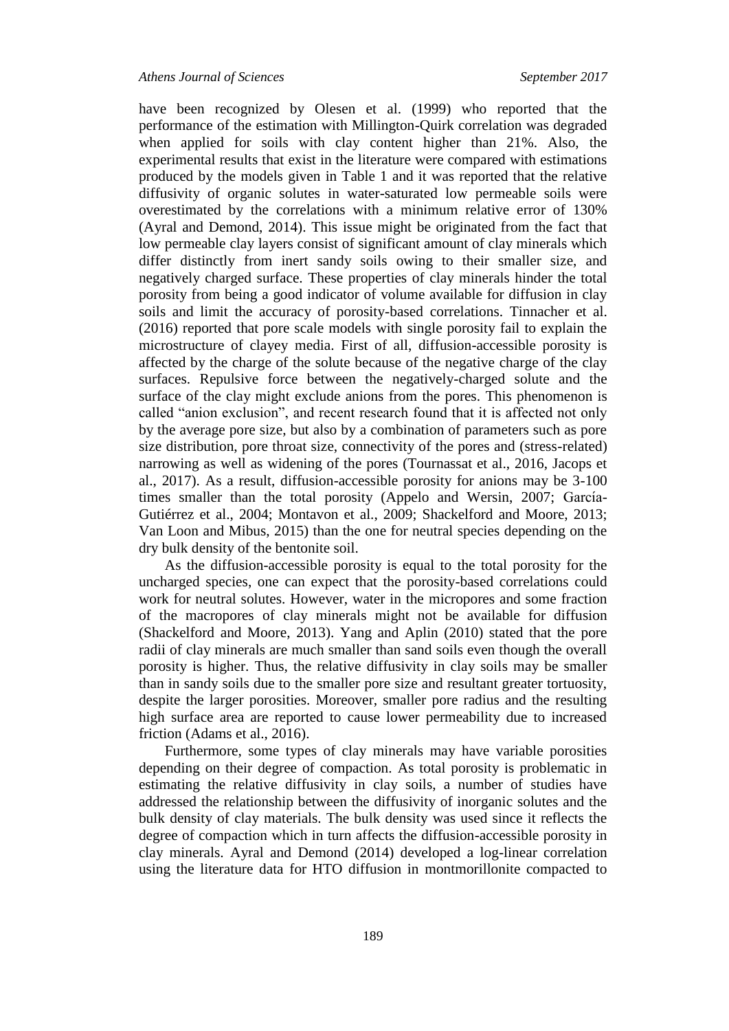have been recognized by Olesen et al. (1999) who reported that the performance of the estimation with Millington-Quirk correlation was degraded when applied for soils with clay content higher than 21%. Also, the experimental results that exist in the literature were compared with estimations produced by the models given in Table 1 and it was reported that the relative diffusivity of organic solutes in water-saturated low permeable soils were overestimated by the correlations with a minimum relative error of 130% (Ayral and Demond, 2014). This issue might be originated from the fact that low permeable clay layers consist of significant amount of clay minerals which differ distinctly from inert sandy soils owing to their smaller size, and negatively charged surface. These properties of clay minerals hinder the total porosity from being a good indicator of volume available for diffusion in clay soils and limit the accuracy of porosity-based correlations. Tinnacher et al. (2016) reported that pore scale models with single porosity fail to explain the microstructure of clayey media. First of all, diffusion-accessible porosity is affected by the charge of the solute because of the negative charge of the clay surfaces. Repulsive force between the negatively-charged solute and the surface of the clay might exclude anions from the pores. This phenomenon is called "anion exclusion", and recent research found that it is affected not only by the average pore size, but also by a combination of parameters such as pore size distribution, pore throat size, connectivity of the pores and (stress-related) narrowing as well as widening of the pores (Tournassat et al., 2016, Jacops et al., 2017). As a result, diffusion-accessible porosity for anions may be 3-100 times smaller than the total porosity (Appelo and Wersin, 2007; García-Gutiérrez et al., 2004; Montavon et al., 2009; Shackelford and Moore, 2013; Van Loon and Mibus, 2015) than the one for neutral species depending on the dry bulk density of the bentonite soil.

As the diffusion-accessible porosity is equal to the total porosity for the uncharged species, one can expect that the porosity-based correlations could work for neutral solutes. However, water in the micropores and some fraction of the macropores of clay minerals might not be available for diffusion (Shackelford and Moore, 2013). Yang and Aplin (2010) stated that the pore radii of clay minerals are much smaller than sand soils even though the overall porosity is higher. Thus, the relative diffusivity in clay soils may be smaller than in sandy soils due to the smaller pore size and resultant greater tortuosity, despite the larger porosities. Moreover, smaller pore radius and the resulting high surface area are reported to cause lower permeability due to increased friction (Adams et al., 2016).

Furthermore, some types of clay minerals may have variable porosities depending on their degree of compaction. As total porosity is problematic in estimating the relative diffusivity in clay soils, a number of studies have addressed the relationship between the diffusivity of inorganic solutes and the bulk density of clay materials. The bulk density was used since it reflects the degree of compaction which in turn affects the diffusion-accessible porosity in clay minerals. Ayral and Demond (2014) developed a log-linear correlation using the literature data for HTO diffusion in montmorillonite compacted to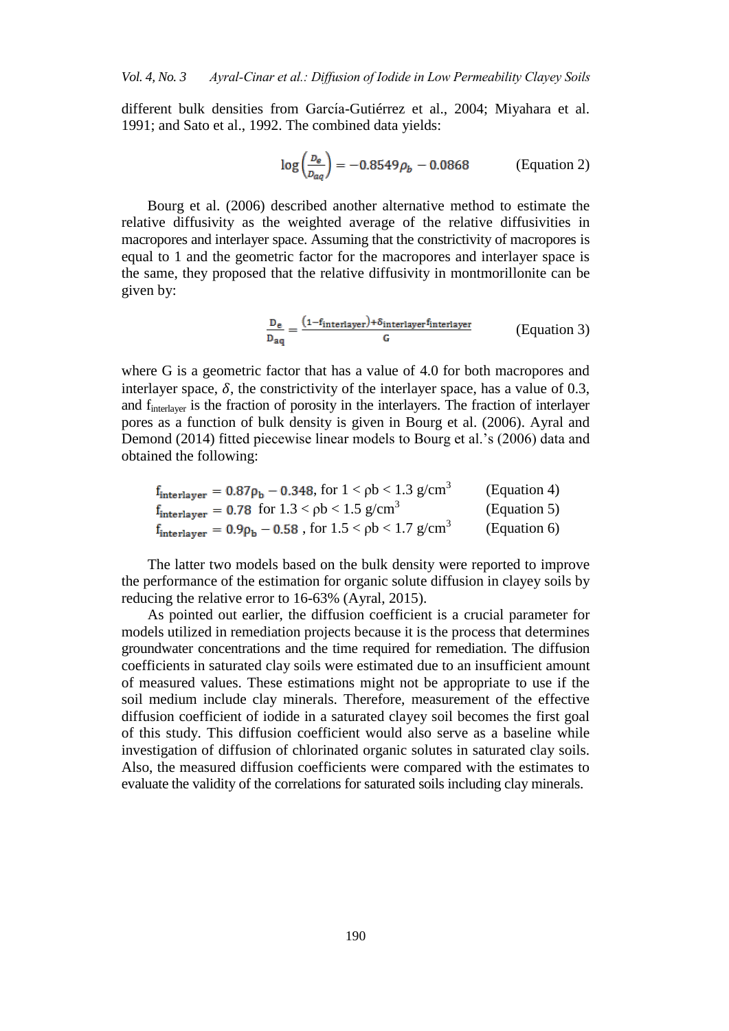different bulk densities from García-Gutiérrez et al., 2004; Miyahara et al. 1991; and Sato et al., 1992. The combined data yields:

$$
\log\left(\frac{D_e}{D_{aq}}\right) = -0.8549\rho_b - 0.0868
$$
 (Equation 2)

Bourg et al. (2006) described another alternative method to estimate the relative diffusivity as the weighted average of the relative diffusivities in macropores and interlayer space. Assuming that the constrictivity of macropores is equal to 1 and the geometric factor for the macropores and interlayer space is the same, they proposed that the relative diffusivity in montmorillonite can be given by:

$$
\frac{D_e}{D_{aq}} = \frac{(1 - f_{interlayer}) + \delta_{interlayer} f_{interlayer}}{G}
$$
 (Equation 3)

where G is a geometric factor that has a value of 4.0 for both macropores and interlayer space,  $\delta$ , the constrictivity of the interlayer space, has a value of 0.3, and finterlayer is the fraction of porosity in the interlayers. The fraction of interlayer pores as a function of bulk density is given in Bourg et al. (2006). Ayral and Demond (2014) fitted piecewise linear models to Bourg et al.'s (2006) data and obtained the following:

| $\rm f_{interlayer}=0.87\rho_b-0.348,$ for $1<\rm \rho b<1.3$ $\rm g/cm^3$              | (Equation 4) |
|-----------------------------------------------------------------------------------------|--------------|
| $f_{interlayer} = 0.78$ for $1.3 < \rho b < 1.5$ g/cm <sup>3</sup>                      | (Equation 5) |
| $\rm{f_{interlayer}} = 0.9 \rho_b - 0.58$ , for $1.5 < \rm{\rho b} < 1.7$ $\rm{g/cm}^3$ | (Equation 6) |

The latter two models based on the bulk density were reported to improve the performance of the estimation for organic solute diffusion in clayey soils by reducing the relative error to 16-63% (Ayral, 2015).

As pointed out earlier, the diffusion coefficient is a crucial parameter for models utilized in remediation projects because it is the process that determines groundwater concentrations and the time required for remediation. The diffusion coefficients in saturated clay soils were estimated due to an insufficient amount of measured values. These estimations might not be appropriate to use if the soil medium include clay minerals. Therefore, measurement of the effective diffusion coefficient of iodide in a saturated clayey soil becomes the first goal of this study. This diffusion coefficient would also serve as a baseline while investigation of diffusion of chlorinated organic solutes in saturated clay soils. Also, the measured diffusion coefficients were compared with the estimates to evaluate the validity of the correlations for saturated soils including clay minerals.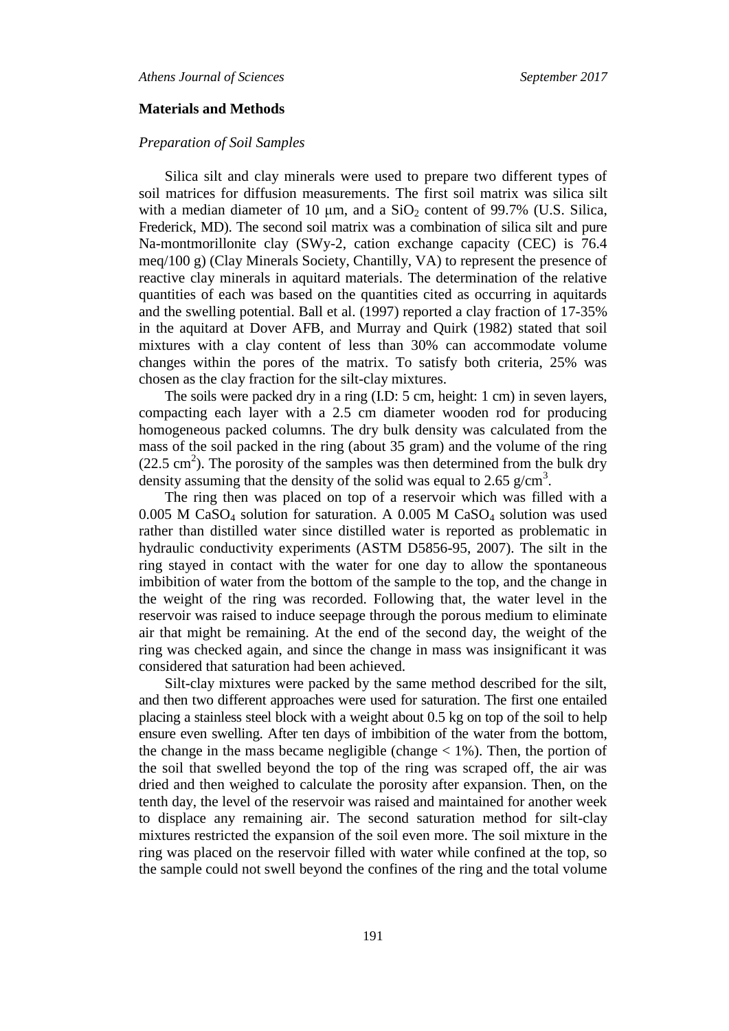#### **Materials and Methods**

### *Preparation of Soil Samples*

Silica silt and clay minerals were used to prepare two different types of soil matrices for diffusion measurements. The first soil matrix was silica silt with a median diameter of 10  $\mu$ m, and a SiO<sub>2</sub> content of 99.7% (U.S. Silica, Frederick, MD). The second soil matrix was a combination of silica silt and pure Na-montmorillonite clay (SWy-2, cation exchange capacity (CEC) is 76.4 meq/100 g) (Clay Minerals Society, Chantilly, VA) to represent the presence of reactive clay minerals in aquitard materials. The determination of the relative quantities of each was based on the quantities cited as occurring in aquitards and the swelling potential. Ball et al. (1997) reported a clay fraction of 17-35% in the aquitard at Dover AFB, and Murray and Quirk (1982) stated that soil mixtures with a clay content of less than 30% can accommodate volume changes within the pores of the matrix. To satisfy both criteria, 25% was chosen as the clay fraction for the silt-clay mixtures.

The soils were packed dry in a ring (I.D: 5 cm, height: 1 cm) in seven layers, compacting each layer with a 2.5 cm diameter wooden rod for producing homogeneous packed columns. The dry bulk density was calculated from the mass of the soil packed in the ring (about 35 gram) and the volume of the ring  $(22.5 \text{ cm}^2)$ . The porosity of the samples was then determined from the bulk dry density assuming that the density of the solid was equal to 2.65  $g/cm^3$ .

The ring then was placed on top of a reservoir which was filled with a  $0.005$  M CaSO<sub>4</sub> solution for saturation. A 0.005 M CaSO<sub>4</sub> solution was used rather than distilled water since distilled water is reported as problematic in hydraulic conductivity experiments (ASTM D5856-95, 2007). The silt in the ring stayed in contact with the water for one day to allow the spontaneous imbibition of water from the bottom of the sample to the top, and the change in the weight of the ring was recorded. Following that, the water level in the reservoir was raised to induce seepage through the porous medium to eliminate air that might be remaining. At the end of the second day, the weight of the ring was checked again, and since the change in mass was insignificant it was considered that saturation had been achieved.

Silt-clay mixtures were packed by the same method described for the silt, and then two different approaches were used for saturation. The first one entailed placing a stainless steel block with a weight about 0.5 kg on top of the soil to help ensure even swelling. After ten days of imbibition of the water from the bottom, the change in the mass became negligible (change  $\langle 1\% \rangle$ ). Then, the portion of the soil that swelled beyond the top of the ring was scraped off, the air was dried and then weighed to calculate the porosity after expansion. Then, on the tenth day, the level of the reservoir was raised and maintained for another week to displace any remaining air. The second saturation method for silt-clay mixtures restricted the expansion of the soil even more. The soil mixture in the ring was placed on the reservoir filled with water while confined at the top, so the sample could not swell beyond the confines of the ring and the total volume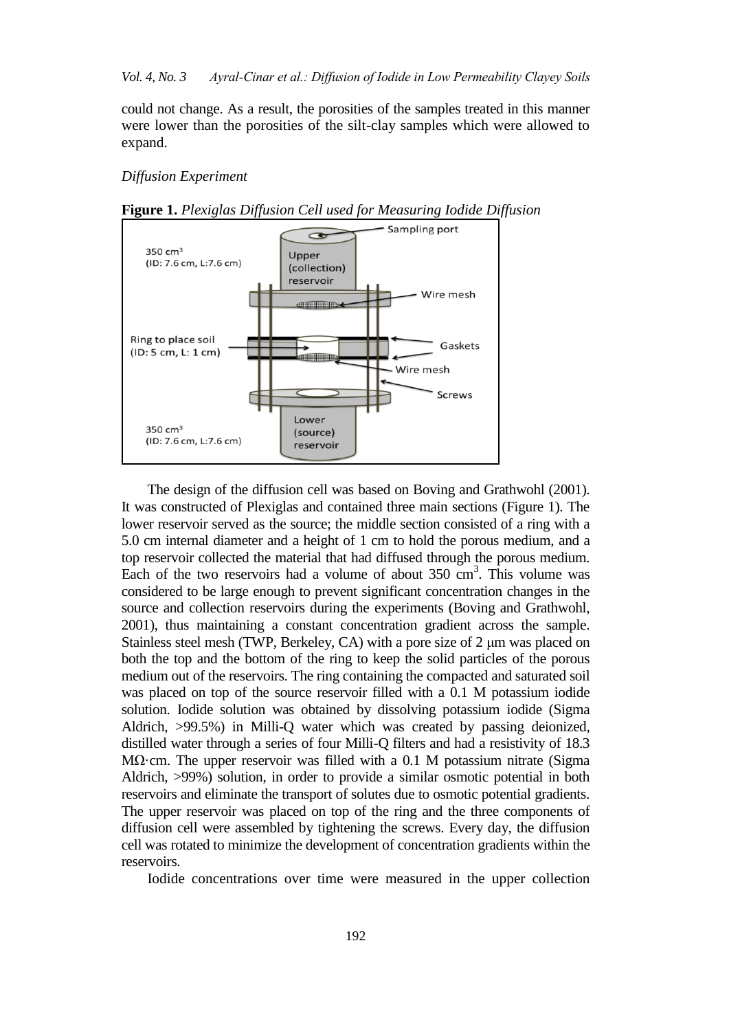could not change. As a result, the porosities of the samples treated in this manner were lower than the porosities of the silt-clay samples which were allowed to expand.

#### *Diffusion Experiment*





The design of the diffusion cell was based on Boving and Grathwohl (2001). It was constructed of Plexiglas and contained three main sections (Figure 1). The lower reservoir served as the source; the middle section consisted of a ring with a 5.0 cm internal diameter and a height of 1 cm to hold the porous medium, and a top reservoir collected the material that had diffused through the porous medium. Each of the two reservoirs had a volume of about  $350 \text{ cm}^3$ . This volume was considered to be large enough to prevent significant concentration changes in the source and collection reservoirs during the experiments (Boving and Grathwohl, 2001), thus maintaining a constant concentration gradient across the sample. Stainless steel mesh (TWP, Berkeley, CA) with a pore size of 2 μm was placed on both the top and the bottom of the ring to keep the solid particles of the porous medium out of the reservoirs. The ring containing the compacted and saturated soil was placed on top of the source reservoir filled with a 0.1 M potassium iodide solution. Iodide solution was obtained by dissolving potassium iodide (Sigma Aldrich, >99.5%) in Milli-Q water which was created by passing deionized, distilled water through a series of four Milli-Q filters and had a resistivity of 18.3 MΩ·cm. The upper reservoir was filled with a 0.1 M potassium nitrate (Sigma Aldrich, >99%) solution, in order to provide a similar osmotic potential in both reservoirs and eliminate the transport of solutes due to osmotic potential gradients. The upper reservoir was placed on top of the ring and the three components of diffusion cell were assembled by tightening the screws. Every day, the diffusion cell was rotated to minimize the development of concentration gradients within the reservoirs.

Iodide concentrations over time were measured in the upper collection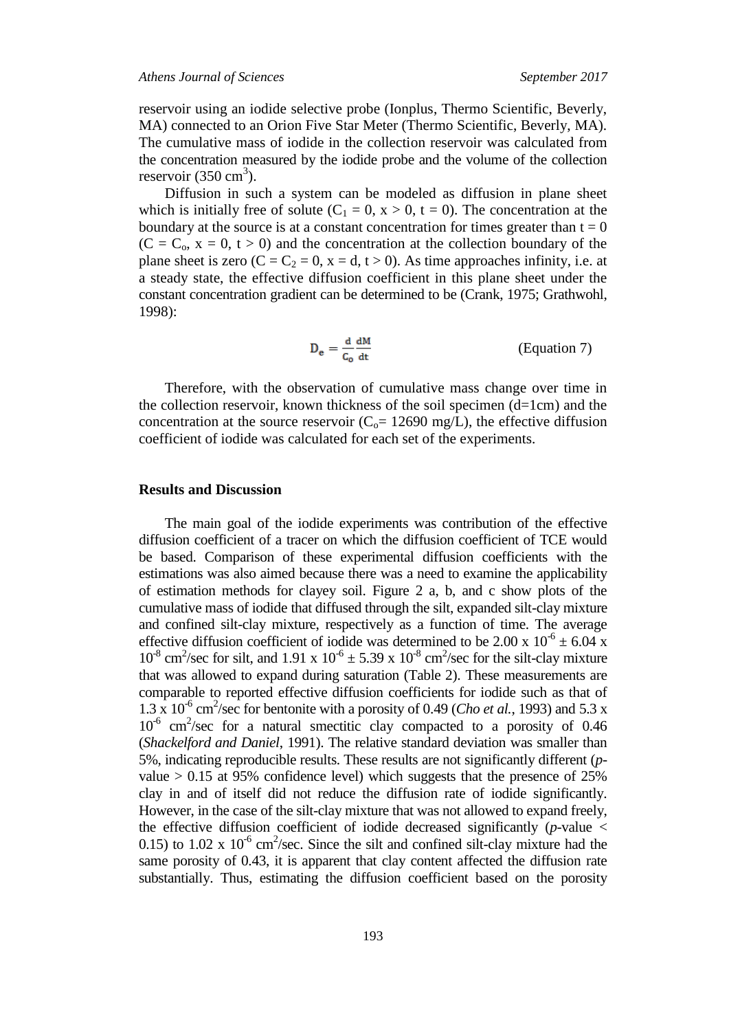reservoir using an iodide selective probe (Ionplus, Thermo Scientific, Beverly, MA) connected to an Orion Five Star Meter (Thermo Scientific, Beverly, MA). The cumulative mass of iodide in the collection reservoir was calculated from the concentration measured by the iodide probe and the volume of the collection reservoir  $(350 \text{ cm}^3)$ .

Diffusion in such a system can be modeled as diffusion in plane sheet which is initially free of solute ( $C_1 = 0$ ,  $x > 0$ ,  $t = 0$ ). The concentration at the boundary at the source is at a constant concentration for times greater than  $t = 0$  $(C = C_0, x = 0, t > 0)$  and the concentration at the collection boundary of the plane sheet is zero  $(C = C_2 = 0, x = d, t > 0)$ . As time approaches infinity, i.e. at a steady state, the effective diffusion coefficient in this plane sheet under the constant concentration gradient can be determined to be (Crank, 1975; Grathwohl, 1998):

$$
D_e = \frac{d}{c_o} \frac{dM}{dt}
$$
 (Equation 7)

Therefore, with the observation of cumulative mass change over time in the collection reservoir, known thickness of the soil specimen (d=1cm) and the concentration at the source reservoir ( $C<sub>o</sub>= 12690$  mg/L), the effective diffusion coefficient of iodide was calculated for each set of the experiments.

#### **Results and Discussion**

The main goal of the iodide experiments was contribution of the effective diffusion coefficient of a tracer on which the diffusion coefficient of TCE would be based. Comparison of these experimental diffusion coefficients with the estimations was also aimed because there was a need to examine the applicability of estimation methods for clayey soil. Figure 2 a, b, and c show plots of the cumulative mass of iodide that diffused through the silt, expanded silt-clay mixture and confined silt-clay mixture, respectively as a function of time. The average effective diffusion coefficient of iodide was determined to be 2.00 x  $10^{-6} \pm 6.04$  x  $10^{-8}$  cm<sup>2</sup>/sec for silt, and 1.91 x  $10^{-6} \pm 5.39$  x  $10^{-8}$  cm<sup>2</sup>/sec for the silt-clay mixture that was allowed to expand during saturation (Table 2). These measurements are comparable to reported effective diffusion coefficients for iodide such as that of  $1.3 \times 10^{-6}$  cm<sup>2</sup>/sec for bentonite with a porosity of 0.49 (*Cho et al.*, 1993) and 5.3 x 10<sup>-6</sup> cm<sup>2</sup>/sec for a natural smectitic clay compacted to a porosity of 0.46 (*Shackelford and Daniel*, 1991). The relative standard deviation was smaller than 5%, indicating reproducible results. These results are not significantly different (*p*value  $> 0.15$  at 95% confidence level) which suggests that the presence of 25% clay in and of itself did not reduce the diffusion rate of iodide significantly. However, in the case of the silt-clay mixture that was not allowed to expand freely, the effective diffusion coefficient of iodide decreased significantly  $(p$ -value  $\lt$ 0.15) to 1.02 x  $10^{-6}$  cm<sup>2</sup>/sec. Since the silt and confined silt-clay mixture had the same porosity of 0.43, it is apparent that clay content affected the diffusion rate substantially. Thus, estimating the diffusion coefficient based on the porosity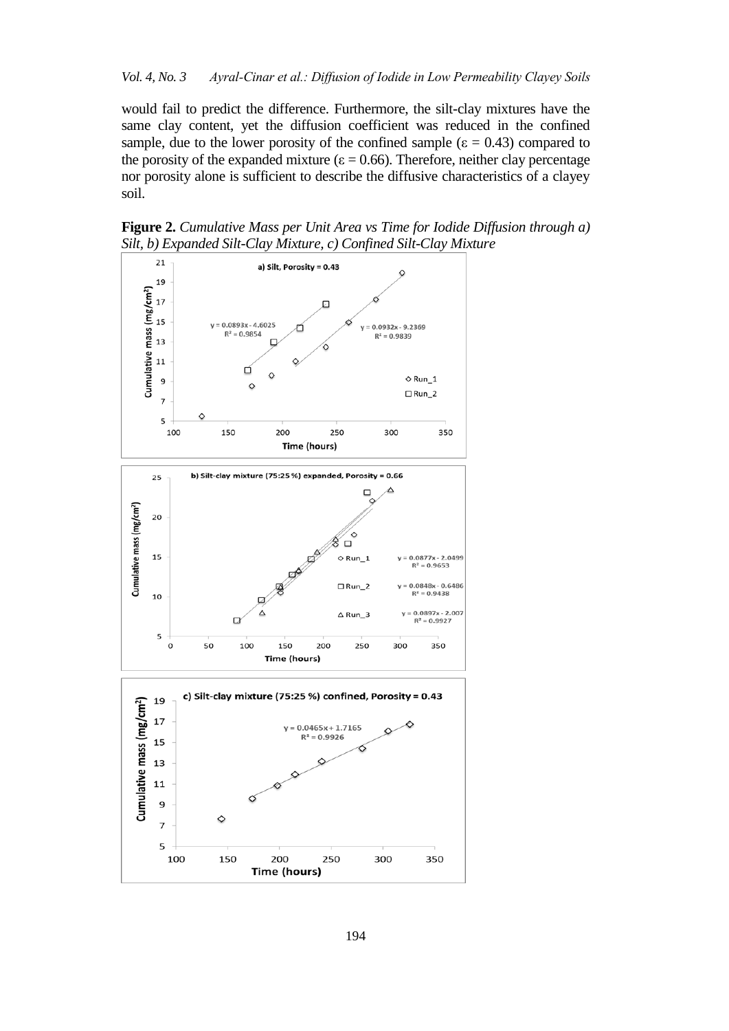would fail to predict the difference. Furthermore, the silt-clay mixtures have the same clay content, yet the diffusion coefficient was reduced in the confined sample, due to the lower porosity of the confined sample ( $\varepsilon = 0.43$ ) compared to the porosity of the expanded mixture ( $\varepsilon$  = 0.66). Therefore, neither clay percentage nor porosity alone is sufficient to describe the diffusive characteristics of a clayey soil.

**Figure 2.** *Cumulative Mass per Unit Area vs Time for Iodide Diffusion through a) Silt, b) Expanded Silt-Clay Mixture, c) Confined Silt-Clay Mixture*

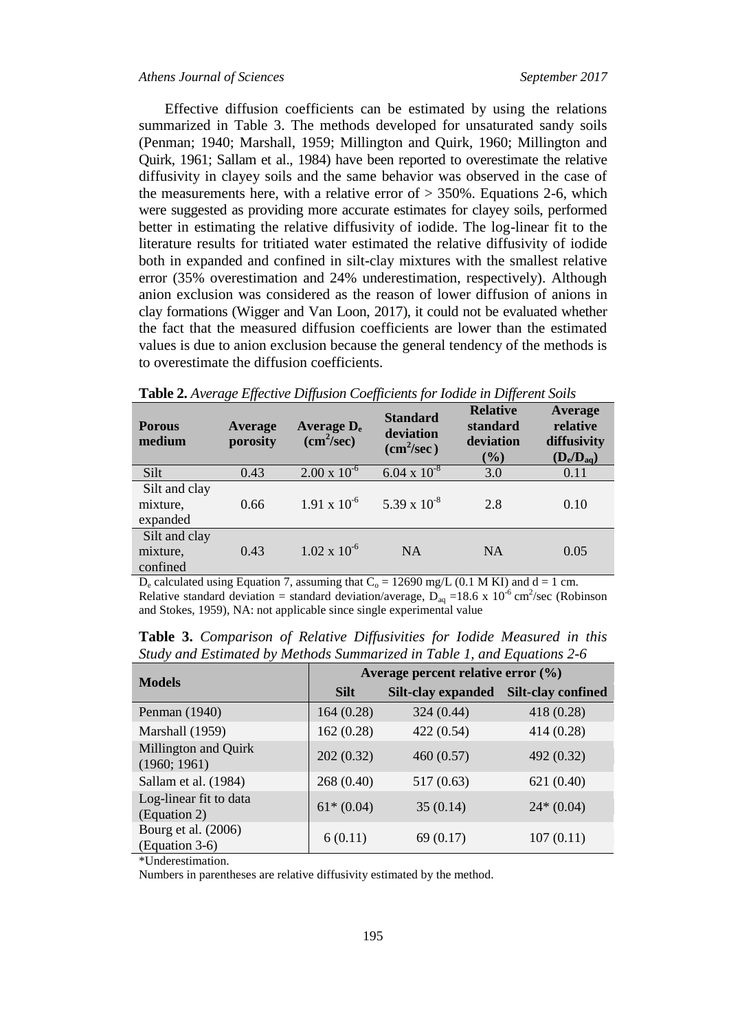Effective diffusion coefficients can be estimated by using the relations summarized in Table 3. The methods developed for unsaturated sandy soils (Penman; 1940; Marshall, 1959; Millington and Quirk, 1960; Millington and Quirk, 1961; Sallam et al., 1984) have been reported to overestimate the relative diffusivity in clayey soils and the same behavior was observed in the case of the measurements here, with a relative error of  $> 350\%$ . Equations 2-6, which were suggested as providing more accurate estimates for clayey soils, performed better in estimating the relative diffusivity of iodide. The log-linear fit to the literature results for tritiated water estimated the relative diffusivity of iodide both in expanded and confined in silt-clay mixtures with the smallest relative error (35% overestimation and 24% underestimation, respectively). Although anion exclusion was considered as the reason of lower diffusion of anions in clay formations (Wigger and Van Loon, 2017), it could not be evaluated whether the fact that the measured diffusion coefficients are lower than the estimated values is due to anion exclusion because the general tendency of the methods is to overestimate the diffusion coefficients.

| <b>Porous</b><br>medium               | Average<br>porosity | Average $D_e$<br>(cm <sup>2</sup> /sec) | <b>Standard</b><br>deviation<br>(cm <sup>2</sup> /sec) | <b>Relative</b><br>standard<br>deviation<br>$(\%)$ | Average<br>relative<br>diffusivity<br>$(D_e/D_{aq})$ |
|---------------------------------------|---------------------|-----------------------------------------|--------------------------------------------------------|----------------------------------------------------|------------------------------------------------------|
| Silt                                  | 0.43                | $2.00 \times 10^{-6}$                   | $6.04 \times 10^{-8}$                                  | 3.0                                                | 0.11                                                 |
| Silt and clay<br>mixture,<br>expanded | 0.66                | $1.91 \times 10^{-6}$                   | $5.39 \times 10^{-8}$                                  | 2.8                                                | 0.10                                                 |
| Silt and clay<br>mixture,<br>confined | 0.43                | $1.02 \times 10^{-6}$                   | <b>NA</b>                                              | <b>NA</b>                                          | 0.05                                                 |

 $D_e$  calculated using Equation 7, assuming that  $C_o = 12690$  mg/L (0.1 M KI) and d = 1 cm. Relative standard deviation = standard deviation/average,  $D_{aq} = 18.6 \times 10^{-6} \text{ cm}^2/\text{sec}$  (Robinson and Stokes, 1959), NA: not applicable since single experimental value

| $m$ , and $m$ and $n$ and $n$ is the property of $m$ and $n$ and $n$ and $n$ and $n$ and $n$ and $n$ |                                        |                    |                           |  |  |  |
|------------------------------------------------------------------------------------------------------|----------------------------------------|--------------------|---------------------------|--|--|--|
| <b>Models</b>                                                                                        | Average percent relative error $(\% )$ |                    |                           |  |  |  |
|                                                                                                      | <b>Silt</b>                            | Silt-clay expanded | <b>Silt-clay confined</b> |  |  |  |
| Penman (1940)                                                                                        | 164(0.28)                              | 324 (0.44)         | 418 (0.28)                |  |  |  |
| Marshall (1959)                                                                                      | 162(0.28)                              | 422 (0.54)         | 414 (0.28)                |  |  |  |
| Millington and Quirk<br>(1960; 1961)                                                                 | 202(0.32)                              | 460(0.57)          | 492 (0.32)                |  |  |  |
| Sallam et al. (1984)                                                                                 | 268 (0.40)                             | 517(0.63)          | 621(0.40)                 |  |  |  |
| Log-linear fit to data<br>(Equation 2)                                                               | $61*(0.04)$                            | 35(0.14)           | $24*(0.04)$               |  |  |  |
| Bourg et al. (2006)<br>(Equation 3-6)                                                                | 6(0.11)                                | 69 (0.17)          | 107(0.11)                 |  |  |  |

**Table 3.** *Comparison of Relative Diffusivities for Iodide Measured in this Study and Estimated by Methods Summarized in Table 1, and Equations 2-6*

\*Underestimation.

Numbers in parentheses are relative diffusivity estimated by the method.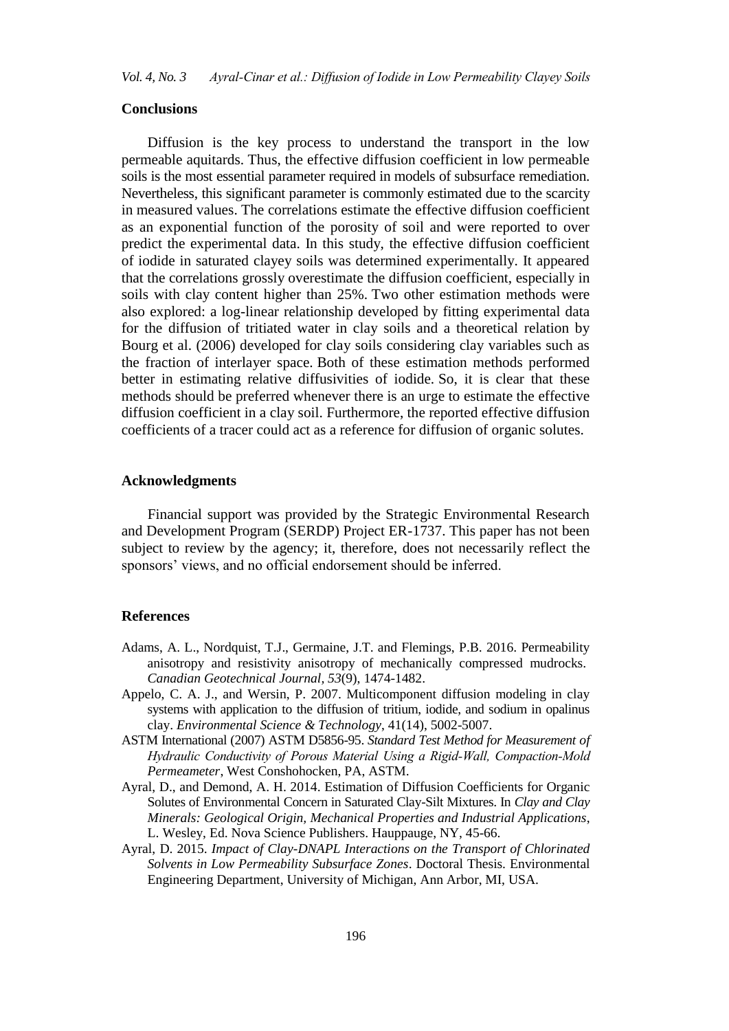#### **Conclusions**

Diffusion is the key process to understand the transport in the low permeable aquitards. Thus, the effective diffusion coefficient in low permeable soils is the most essential parameter required in models of subsurface remediation. Nevertheless, this significant parameter is commonly estimated due to the scarcity in measured values. The correlations estimate the effective diffusion coefficient as an exponential function of the porosity of soil and were reported to over predict the experimental data. In this study, the effective diffusion coefficient of iodide in saturated clayey soils was determined experimentally. It appeared that the correlations grossly overestimate the diffusion coefficient, especially in soils with clay content higher than 25%. Two other estimation methods were also explored: a log-linear relationship developed by fitting experimental data for the diffusion of tritiated water in clay soils and a theoretical relation by Bourg et al. (2006) developed for clay soils considering clay variables such as the fraction of interlayer space. Both of these estimation methods performed better in estimating relative diffusivities of iodide. So, it is clear that these methods should be preferred whenever there is an urge to estimate the effective diffusion coefficient in a clay soil. Furthermore, the reported effective diffusion coefficients of a tracer could act as a reference for diffusion of organic solutes.

#### **Acknowledgments**

Financial support was provided by the Strategic Environmental Research and Development Program (SERDP) Project ER-1737. This paper has not been subject to review by the agency; it, therefore, does not necessarily reflect the sponsors' views, and no official endorsement should be inferred.

#### **References**

- Adams, A. L., Nordquist, T.J., Germaine, J.T. and Flemings, P.B. 2016. Permeability anisotropy and resistivity anisotropy of mechanically compressed mudrocks. *Canadian Geotechnical Journal, 53*(9), 1474-1482.
- Appelo, C. A. J., and Wersin, P. 2007. Multicomponent diffusion modeling in clay systems with application to the diffusion of tritium, iodide, and sodium in opalinus clay. *Environmental Science & Technology*, 41(14), 5002-5007.
- ASTM International (2007) ASTM D5856-95. *Standard Test Method for Measurement of Hydraulic Conductivity of Porous Material Using a Rigid-Wall, Compaction-Mold Permeameter*, West Conshohocken, PA, ASTM.
- Ayral, D., and Demond, A. H. 2014. Estimation of Diffusion Coefficients for Organic Solutes of Environmental Concern in Saturated Clay-Silt Mixtures. In *Clay and Clay Minerals: Geological Origin, Mechanical Properties and Industrial Applications*, L. Wesley, Ed. Nova Science Publishers. Hauppauge, NY, 45-66.
- Ayral, D. 2015. *Impact of Clay-DNAPL Interactions on the Transport of Chlorinated Solvents in Low Permeability Subsurface Zones*. Doctoral Thesis. Environmental Engineering Department, University of Michigan, Ann Arbor, MI, USA.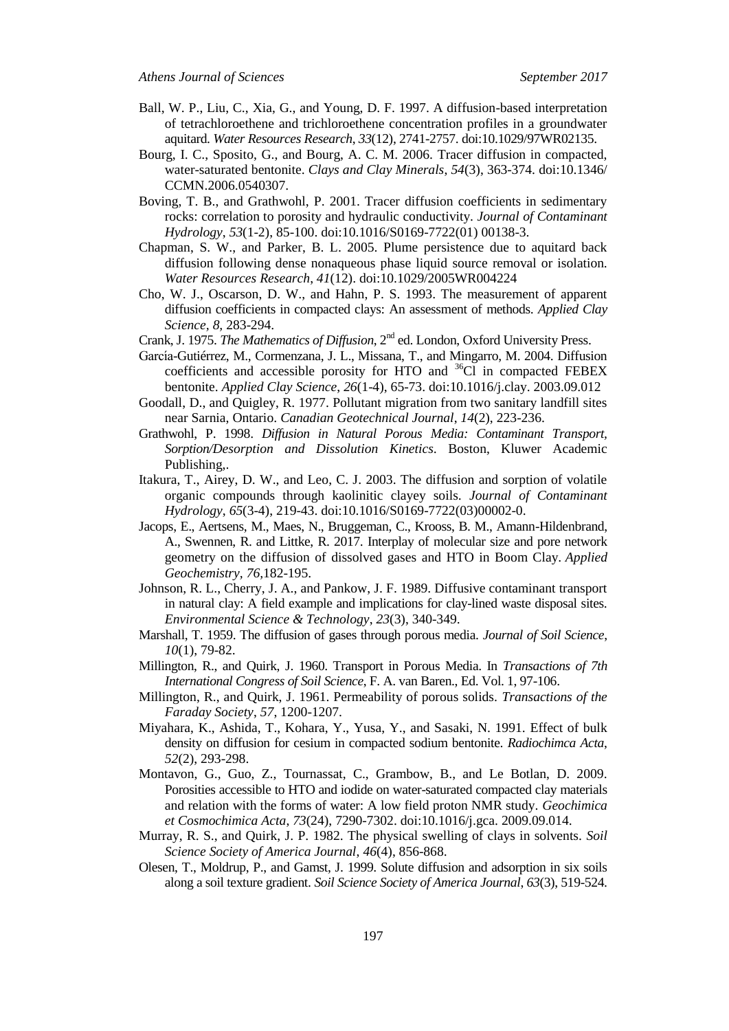- Ball, W. P., Liu, C., Xia, G., and Young, D. F. 1997. A diffusion-based interpretation of tetrachloroethene and trichloroethene concentration profiles in a groundwater aquitard. *Water Resources Research*, *33*(12), 2741-2757. doi:10.1029/97WR02135.
- Bourg, I. C., Sposito, G., and Bourg, A. C. M. 2006. Tracer diffusion in compacted, water-saturated bentonite. *Clays and Clay Minerals*, *54*(3), 363-374. doi:10.1346/ CCMN.2006.0540307.
- Boving, T. B., and Grathwohl, P. 2001. Tracer diffusion coefficients in sedimentary rocks: correlation to porosity and hydraulic conductivity. *Journal of Contaminant Hydrology*, *53*(1-2), 85-100. doi:10.1016/S0169-7722(01) 00138-3.
- Chapman, S. W., and Parker, B. L. 2005. Plume persistence due to aquitard back diffusion following dense nonaqueous phase liquid source removal or isolation. *Water Resources Research*, *41*(12). doi:10.1029/2005WR004224
- Cho, W. J., Oscarson, D. W., and Hahn, P. S. 1993. The measurement of apparent diffusion coefficients in compacted clays: An assessment of methods. *Applied Clay Science, 8,* 283-294.
- Crank, J. 1975. *The Mathematics of Diffusion*, 2nd ed. London, Oxford University Press.
- García-Gutiérrez, M., Cormenzana, J. L., Missana, T., and Mingarro, M. 2004. Diffusion coefficients and accessible porosity for HTO and  ${}^{36}$ Cl in compacted FEBEX bentonite. *Applied Clay Science*, *26*(1-4), 65-73. doi:10.1016/j.clay. 2003.09.012
- Goodall, D., and Quigley, R. 1977. Pollutant migration from two sanitary landfill sites near Sarnia, Ontario. *Canadian Geotechnical Journal*, *14*(2), 223-236.
- Grathwohl, P. 1998. *Diffusion in Natural Porous Media: Contaminant Transport, Sorption/Desorption and Dissolution Kinetics.* Boston, Kluwer Academic Publishing,.
- Itakura, T., Airey, D. W., and Leo, C. J. 2003. The diffusion and sorption of volatile organic compounds through kaolinitic clayey soils. *Journal of Contaminant Hydrology*, *65*(3-4), 219-43. doi:10.1016/S0169-7722(03)00002-0.
- Jacops, E., Aertsens, M., Maes, N., Bruggeman, C., Krooss, B. M., Amann-Hildenbrand, A., Swennen, R. and Littke, R. 2017. Interplay of molecular size and pore network geometry on the diffusion of dissolved gases and HTO in Boom Clay. *Applied Geochemistry, 76,*182-195.
- Johnson, R. L., Cherry, J. A., and Pankow, J. F. 1989. Diffusive contaminant transport in natural clay: A field example and implications for clay-lined waste disposal sites. *Environmental Science & Technology*, *23*(3), 340-349.
- Marshall, T. 1959. The diffusion of gases through porous media. *Journal of Soil Science*, *10*(1), 79-82.
- Millington, R., and Quirk, J. 1960. Transport in Porous Media. In *Transactions of 7th International Congress of Soil Science*, F. A. van Baren., Ed. Vol. 1, 97-106.
- Millington, R., and Quirk, J. 1961. Permeability of porous solids. *Transactions of the Faraday Society*, *57*, 1200-1207.
- Miyahara, K., Ashida, T., Kohara, Y., Yusa, Y., and Sasaki, N. 1991. Effect of bulk density on diffusion for cesium in compacted sodium bentonite. *Radiochimca Acta*, *52*(2), 293-298.
- Montavon, G., Guo, Z., Tournassat, C., Grambow, B., and Le Botlan, D. 2009. Porosities accessible to HTO and iodide on water-saturated compacted clay materials and relation with the forms of water: A low field proton NMR study. *Geochimica et Cosmochimica Acta*, *73*(24), 7290-7302. doi:10.1016/j.gca. 2009.09.014.
- Murray, R. S., and Quirk, J. P. 1982. The physical swelling of clays in solvents. *Soil Science Society of America Journal*, *46*(4), 856-868.
- Olesen, T., Moldrup, P., and Gamst, J. 1999. Solute diffusion and adsorption in six soils along a soil texture gradient. *Soil Science Society of America Journal*, *63*(3), 519-524.